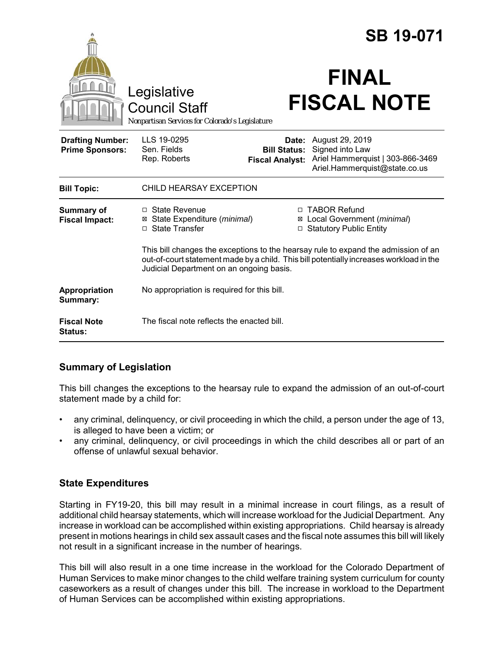|                                                   |                                                                                                                                                                                                                           |                                                        | <b>SB 19-071</b>                                                                                        |  |
|---------------------------------------------------|---------------------------------------------------------------------------------------------------------------------------------------------------------------------------------------------------------------------------|--------------------------------------------------------|---------------------------------------------------------------------------------------------------------|--|
|                                                   | Legislative<br><b>Council Staff</b><br>Nonpartisan Services for Colorado's Legislature                                                                                                                                    |                                                        | <b>FINAL</b><br><b>FISCAL NOTE</b>                                                                      |  |
| <b>Drafting Number:</b><br><b>Prime Sponsors:</b> | LLS 19-0295<br>Sen. Fields<br>Rep. Roberts                                                                                                                                                                                | Date:<br><b>Bill Status:</b><br><b>Fiscal Analyst:</b> | August 29, 2019<br>Signed into Law<br>Ariel Hammerquist   303-866-3469<br>Ariel.Hammerquist@state.co.us |  |
| <b>Bill Topic:</b>                                | CHILD HEARSAY EXCEPTION                                                                                                                                                                                                   |                                                        |                                                                                                         |  |
| <b>Summary of</b><br><b>Fiscal Impact:</b>        | $\Box$ State Revenue<br>State Expenditure (minimal)<br>⊠<br><b>State Transfer</b><br>П.                                                                                                                                   | X<br>$\Box$                                            | □ TABOR Refund<br>Local Government (minimal)<br><b>Statutory Public Entity</b>                          |  |
|                                                   | This bill changes the exceptions to the hearsay rule to expand the admission of an<br>out-of-court statement made by a child. This bill potentially increases workload in the<br>Judicial Department on an ongoing basis. |                                                        |                                                                                                         |  |
| Appropriation<br>Summary:                         | No appropriation is required for this bill.                                                                                                                                                                               |                                                        |                                                                                                         |  |
| <b>Fiscal Note</b><br><b>Status:</b>              | The fiscal note reflects the enacted bill.                                                                                                                                                                                |                                                        |                                                                                                         |  |

## **Summary of Legislation**

This bill changes the exceptions to the hearsay rule to expand the admission of an out-of-court statement made by a child for:

- any criminal, delinquency, or civil proceeding in which the child, a person under the age of 13, is alleged to have been a victim; or
- any criminal, delinquency, or civil proceedings in which the child describes all or part of an offense of unlawful sexual behavior.

## **State Expenditures**

Starting in FY19-20, this bill may result in a minimal increase in court filings, as a result of additional child hearsay statements, which will increase workload for the Judicial Department. Any increase in workload can be accomplished within existing appropriations. Child hearsay is already present in motions hearings in child sex assault cases and the fiscal note assumes this bill will likely not result in a significant increase in the number of hearings.

This bill will also result in a one time increase in the workload for the Colorado Department of Human Services to make minor changes to the child welfare training system curriculum for county caseworkers as a result of changes under this bill. The increase in workload to the Department of Human Services can be accomplished within existing appropriations.